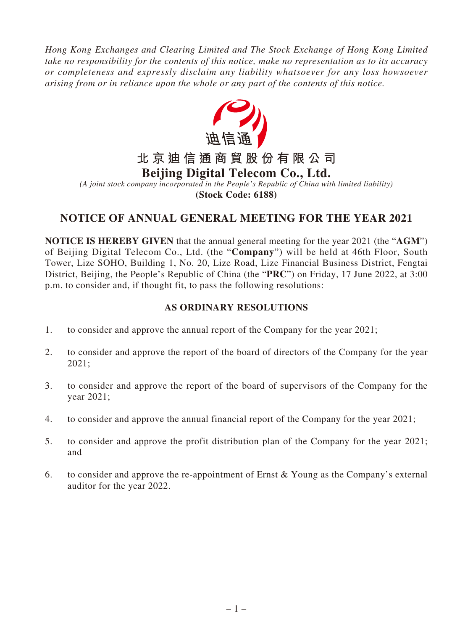*Hong Kong Exchanges and Clearing Limited and The Stock Exchange of Hong Kong Limited take no responsibility for the contents of this notice, make no representation as to its accuracy or completeness and expressly disclaim any liability whatsoever for any loss howsoever arising from or in reliance upon the whole or any part of the contents of this notice.*



**(Stock Code: 6188)**

# **NOTICE OF ANNUAL GENERAL MEETING FOR THE YEAR 2021**

**NOTICE IS HEREBY GIVEN** that the annual general meeting for the year 2021 (the "**AGM**") of Beijing Digital Telecom Co., Ltd. (the "**Company**") will be held at 46th Floor, South Tower, Lize SOHO, Building 1, No. 20, Lize Road, Lize Financial Business District, Fengtai District, Beijing, the People's Republic of China (the "**PRC**") on Friday, 17 June 2022, at 3:00 p.m. to consider and, if thought fit, to pass the following resolutions:

# **AS ORDINARY RESOLUTIONS**

- 1. to consider and approve the annual report of the Company for the year 2021;
- 2. to consider and approve the report of the board of directors of the Company for the year 2021;
- 3. to consider and approve the report of the board of supervisors of the Company for the year 2021;
- 4. to consider and approve the annual financial report of the Company for the year 2021;
- 5. to consider and approve the profit distribution plan of the Company for the year 2021; and
- 6. to consider and approve the re-appointment of Ernst & Young as the Company's external auditor for the year 2022.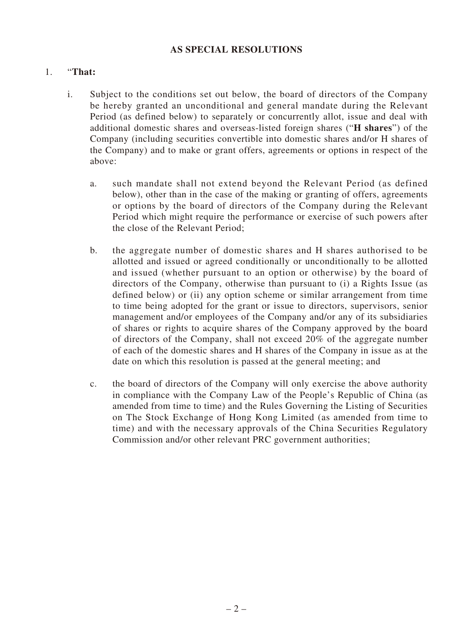## **AS SPECIAL RESOLUTIONS**

## 1. "**That:**

- i. Subject to the conditions set out below, the board of directors of the Company be hereby granted an unconditional and general mandate during the Relevant Period (as defined below) to separately or concurrently allot, issue and deal with additional domestic shares and overseas-listed foreign shares ("**H shares**") of the Company (including securities convertible into domestic shares and/or H shares of the Company) and to make or grant offers, agreements or options in respect of the above:
	- a. such mandate shall not extend beyond the Relevant Period (as defined below), other than in the case of the making or granting of offers, agreements or options by the board of directors of the Company during the Relevant Period which might require the performance or exercise of such powers after the close of the Relevant Period;
	- b. the aggregate number of domestic shares and H shares authorised to be allotted and issued or agreed conditionally or unconditionally to be allotted and issued (whether pursuant to an option or otherwise) by the board of directors of the Company, otherwise than pursuant to (i) a Rights Issue (as defined below) or (ii) any option scheme or similar arrangement from time to time being adopted for the grant or issue to directors, supervisors, senior management and/or employees of the Company and/or any of its subsidiaries of shares or rights to acquire shares of the Company approved by the board of directors of the Company, shall not exceed 20% of the aggregate number of each of the domestic shares and H shares of the Company in issue as at the date on which this resolution is passed at the general meeting; and
	- c. the board of directors of the Company will only exercise the above authority in compliance with the Company Law of the People's Republic of China (as amended from time to time) and the Rules Governing the Listing of Securities on The Stock Exchange of Hong Kong Limited (as amended from time to time) and with the necessary approvals of the China Securities Regulatory Commission and/or other relevant PRC government authorities;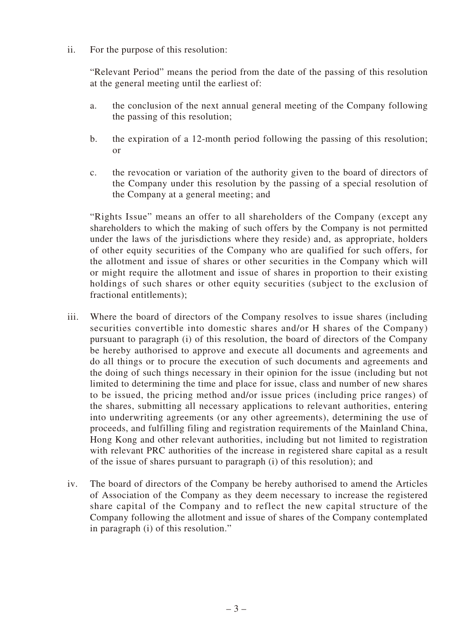ii. For the purpose of this resolution:

"Relevant Period" means the period from the date of the passing of this resolution at the general meeting until the earliest of:

- a. the conclusion of the next annual general meeting of the Company following the passing of this resolution;
- b. the expiration of a 12-month period following the passing of this resolution; or
- c. the revocation or variation of the authority given to the board of directors of the Company under this resolution by the passing of a special resolution of the Company at a general meeting; and

"Rights Issue" means an offer to all shareholders of the Company (except any shareholders to which the making of such offers by the Company is not permitted under the laws of the jurisdictions where they reside) and, as appropriate, holders of other equity securities of the Company who are qualified for such offers, for the allotment and issue of shares or other securities in the Company which will or might require the allotment and issue of shares in proportion to their existing holdings of such shares or other equity securities (subject to the exclusion of fractional entitlements);

- iii. Where the board of directors of the Company resolves to issue shares (including securities convertible into domestic shares and/or H shares of the Company) pursuant to paragraph (i) of this resolution, the board of directors of the Company be hereby authorised to approve and execute all documents and agreements and do all things or to procure the execution of such documents and agreements and the doing of such things necessary in their opinion for the issue (including but not limited to determining the time and place for issue, class and number of new shares to be issued, the pricing method and/or issue prices (including price ranges) of the shares, submitting all necessary applications to relevant authorities, entering into underwriting agreements (or any other agreements), determining the use of proceeds, and fulfilling filing and registration requirements of the Mainland China, Hong Kong and other relevant authorities, including but not limited to registration with relevant PRC authorities of the increase in registered share capital as a result of the issue of shares pursuant to paragraph (i) of this resolution); and
- iv. The board of directors of the Company be hereby authorised to amend the Articles of Association of the Company as they deem necessary to increase the registered share capital of the Company and to reflect the new capital structure of the Company following the allotment and issue of shares of the Company contemplated in paragraph (i) of this resolution."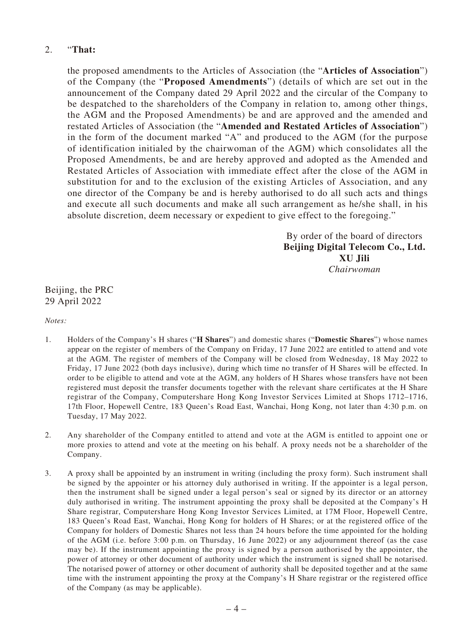## 2. "**That:**

the proposed amendments to the Articles of Association (the "**Articles of Association**") of the Company (the "**Proposed Amendments**") (details of which are set out in the announcement of the Company dated 29 April 2022 and the circular of the Company to be despatched to the shareholders of the Company in relation to, among other things, the AGM and the Proposed Amendments) be and are approved and the amended and restated Articles of Association (the "**Amended and Restated Articles of Association**") in the form of the document marked "A" and produced to the AGM (for the purpose of identification initialed by the chairwoman of the AGM) which consolidates all the Proposed Amendments, be and are hereby approved and adopted as the Amended and Restated Articles of Association with immediate effect after the close of the AGM in substitution for and to the exclusion of the existing Articles of Association, and any one director of the Company be and is hereby authorised to do all such acts and things and execute all such documents and make all such arrangement as he/she shall, in his absolute discretion, deem necessary or expedient to give effect to the foregoing."

> By order of the board of directors **Beijing Digital Telecom Co., Ltd. XU Jili** *Chairwoman*

Beijing, the PRC 29 April 2022

*Notes:*

- 1. Holders of the Company's H shares ("**H Shares**") and domestic shares ("**Domestic Shares**") whose names appear on the register of members of the Company on Friday, 17 June 2022 are entitled to attend and vote at the AGM. The register of members of the Company will be closed from Wednesday, 18 May 2022 to Friday, 17 June 2022 (both days inclusive), during which time no transfer of H Shares will be effected. In order to be eligible to attend and vote at the AGM, any holders of H Shares whose transfers have not been registered must deposit the transfer documents together with the relevant share certificates at the H Share registrar of the Company, Computershare Hong Kong Investor Services Limited at Shops 1712–1716, 17th Floor, Hopewell Centre, 183 Queen's Road East, Wanchai, Hong Kong, not later than 4:30 p.m. on Tuesday, 17 May 2022.
- 2. Any shareholder of the Company entitled to attend and vote at the AGM is entitled to appoint one or more proxies to attend and vote at the meeting on his behalf. A proxy needs not be a shareholder of the Company.
- 3. A proxy shall be appointed by an instrument in writing (including the proxy form). Such instrument shall be signed by the appointer or his attorney duly authorised in writing. If the appointer is a legal person, then the instrument shall be signed under a legal person's seal or signed by its director or an attorney duly authorised in writing. The instrument appointing the proxy shall be deposited at the Company's H Share registrar, Computershare Hong Kong Investor Services Limited, at 17M Floor, Hopewell Centre, 183 Queen's Road East, Wanchai, Hong Kong for holders of H Shares; or at the registered office of the Company for holders of Domestic Shares not less than 24 hours before the time appointed for the holding of the AGM (i.e. before 3:00 p.m. on Thursday, 16 June 2022) or any adjournment thereof (as the case may be). If the instrument appointing the proxy is signed by a person authorised by the appointer, the power of attorney or other document of authority under which the instrument is signed shall be notarised. The notarised power of attorney or other document of authority shall be deposited together and at the same time with the instrument appointing the proxy at the Company's H Share registrar or the registered office of the Company (as may be applicable).